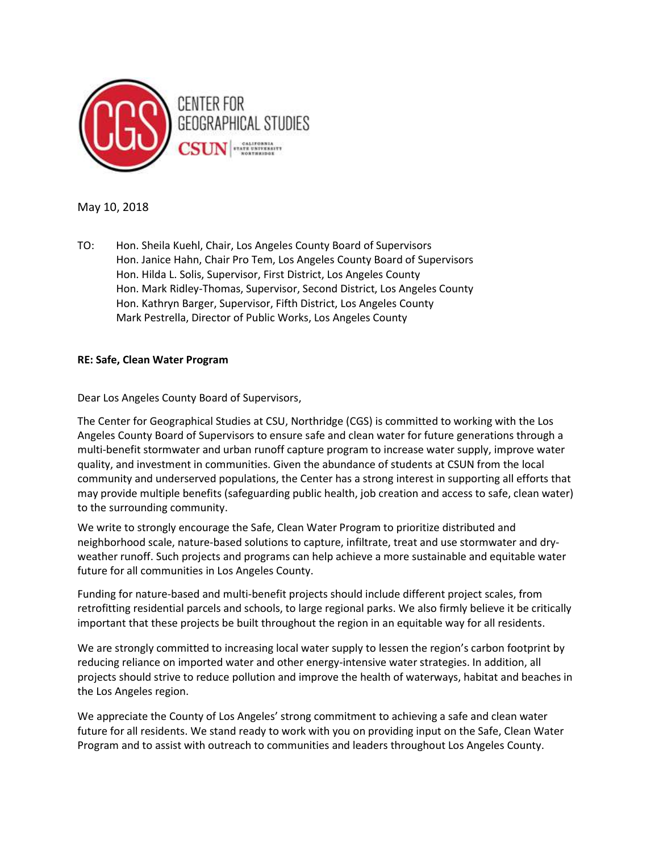

May 10, 2018

TO: Hon. Sheila Kuehl, Chair, Los Angeles County Board of Supervisors Hon. Janice Hahn, Chair Pro Tem, Los Angeles County Board of Supervisors Hon. Hilda L. Solis, Supervisor, First District, Los Angeles County Hon. Mark Ridley-Thomas, Supervisor, Second District, Los Angeles County Hon. Kathryn Barger, Supervisor, Fifth District, Los Angeles County Mark Pestrella, Director of Public Works, Los Angeles County

## RE: Safe, Clean Water Program

Dear Los Angeles County Board of Supervisors,

The Center for Geographical Studies at CSU, Northridge (CGS) is committed to working with the Los Angeles County Board of Supervisors to ensure safe and clean water for future generations through a multi-benefit stormwater and urban runoff capture program to increase water supply, improve water quality, and investment in communities. Given the abundance of students at CSUN from the local community and underserved populations, the Center has a strong interest in supporting all efforts that may provide multiple benefits (safeguarding public health, job creation and access to safe, clean water) to the surrounding community.

We write to strongly encourage the Safe, Clean Water Program to prioritize distributed and neighborhood scale, nature-based solutions to capture, infiltrate, treat and use stormwater and dryweather runoff. Such projects and programs can help achieve a more sustainable and equitable water future for all communities in Los Angeles County.

Funding for nature-based and multi-benefit projects should include different project scales, from retrofitting residential parcels and schools, to large regional parks. We also firmly believe it be critically important that these projects be built throughout the region in an equitable way for all residents.

We are strongly committed to increasing local water supply to lessen the region's carbon footprint by reducing reliance on imported water and other energy-intensive water strategies. In addition, all projects should strive to reduce pollution and improve the health of waterways, habitat and beaches in the Los Angeles region.

We appreciate the County of Los Angeles' strong commitment to achieving a safe and clean water future for all residents. We stand ready to work with you on providing input on the Safe, Clean Water Program and to assist with outreach to communities and leaders throughout Los Angeles County.